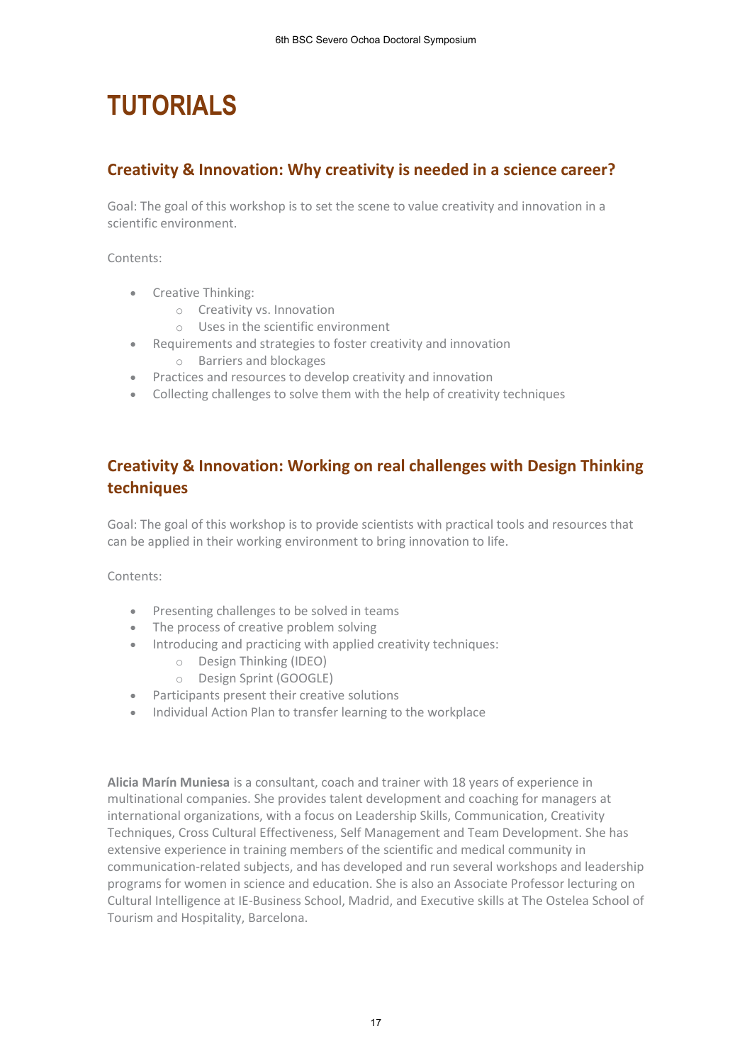## **TUTORIALS**

## **Creativity & Innovation: Why creativity is needed in a science career?**

Goal: The goal of this workshop is to set the scene to value creativity and innovation in a scientific environment.

Contents:

- Creative Thinking:
	- o Creativity vs. Innovation
	- o Uses in the scientific environment
- Requirements and strategies to foster creativity and innovation o Barriers and blockages
- Practices and resources to develop creativity and innovation
- Collecting challenges to solve them with the help of creativity techniques

## **Creativity & Innovation: Working on real challenges with Design Thinking techniques**

Goal: The goal of this workshop is to provide scientists with practical tools and resources that can be applied in their working environment to bring innovation to life.

Contents:

- Presenting challenges to be solved in teams
- The process of creative problem solving
- Introducing and practicing with applied creativity techniques:
	- o Design Thinking (IDEO)
	- o Design Sprint (GOOGLE)
- Participants present their creative solutions
- Individual Action Plan to transfer learning to the workplace

**Alicia Marín Muniesa** is a consultant, coach and trainer with 18 years of experience in multinational companies. She provides talent development and coaching for managers at international organizations, with a focus on Leadership Skills, Communication, Creativity Techniques, Cross Cultural Effectiveness, Self Management and Team Development. She has extensive experience in training members of the scientific and medical community in communication-related subjects, and has developed and run several workshops and leadership programs for women in science and education. She is also an Associate Professor lecturing on Cultural Intelligence at IE-Business School, Madrid, and Executive skills at The Ostelea School of Tourism and Hospitality, Barcelona.